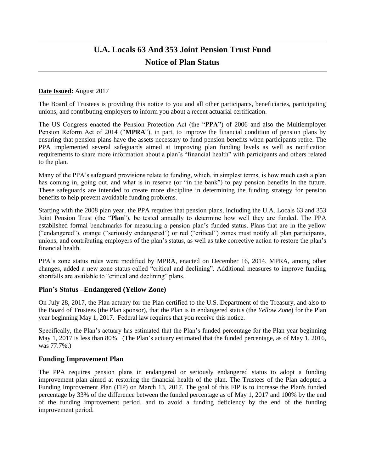# **U.A. Locals 63 And 353 Joint Pension Trust Fund Notice of Plan Status**

#### **Date Issued:** August 2017

The Board of Trustees is providing this notice to you and all other participants, beneficiaries, participating unions, and contributing employers to inform you about a recent actuarial certification.

The US Congress enacted the Pension Protection Act (the "**PPA"**) of 2006 and also the Multiemployer Pension Reform Act of 2014 ("**MPRA**"), in part, to improve the financial condition of pension plans by ensuring that pension plans have the assets necessary to fund pension benefits when participants retire. The PPA implemented several safeguards aimed at improving plan funding levels as well as notification requirements to share more information about a plan's "financial health" with participants and others related to the plan.

Many of the PPA's safeguard provisions relate to funding, which, in simplest terms, is how much cash a plan has coming in, going out, and what is in reserve (or "in the bank") to pay pension benefits in the future. These safeguards are intended to create more discipline in determining the funding strategy for pension benefits to help prevent avoidable funding problems.

Starting with the 2008 plan year, the PPA requires that pension plans, including the U.A. Locals 63 and 353 Joint Pension Trust (the "**Plan**"), be tested annually to determine how well they are funded. The PPA established formal benchmarks for measuring a pension plan's funded status. Plans that are in the yellow ("endangered"), orange ("seriously endangered") or red ("critical") zones must notify all plan participants, unions, and contributing employers of the plan's status, as well as take corrective action to restore the plan's financial health.

PPA's zone status rules were modified by MPRA, enacted on December 16, 2014. MPRA, among other changes, added a new zone status called "critical and declining". Additional measures to improve funding shortfalls are available to "critical and declining" plans.

### **Plan's Status –Endangered (Yellow Zone)**

On July 28, 2017, the Plan actuary for the Plan certified to the U.S. Department of the Treasury, and also to the Board of Trustees (the Plan sponsor), that the Plan is in endangered status (the *Yellow Zone*) for the Plan year beginning May 1, 2017. Federal law requires that you receive this notice.

Specifically, the Plan's actuary has estimated that the Plan's funded percentage for the Plan year beginning May 1, 2017 is less than 80%. (The Plan's actuary estimated that the funded percentage, as of May 1, 2016, was 77.7%.)

### **Funding Improvement Plan**

The PPA requires pension plans in endangered or seriously endangered status to adopt a funding improvement plan aimed at restoring the financial health of the plan. The Trustees of the Plan adopted a Funding Improvement Plan (FIP) on March 13, 2017. The goal of this FIP is to increase the Plan's funded percentage by 33% of the difference between the funded percentage as of May 1, 2017 and 100% by the end of the funding improvement period, and to avoid a funding deficiency by the end of the funding improvement period.